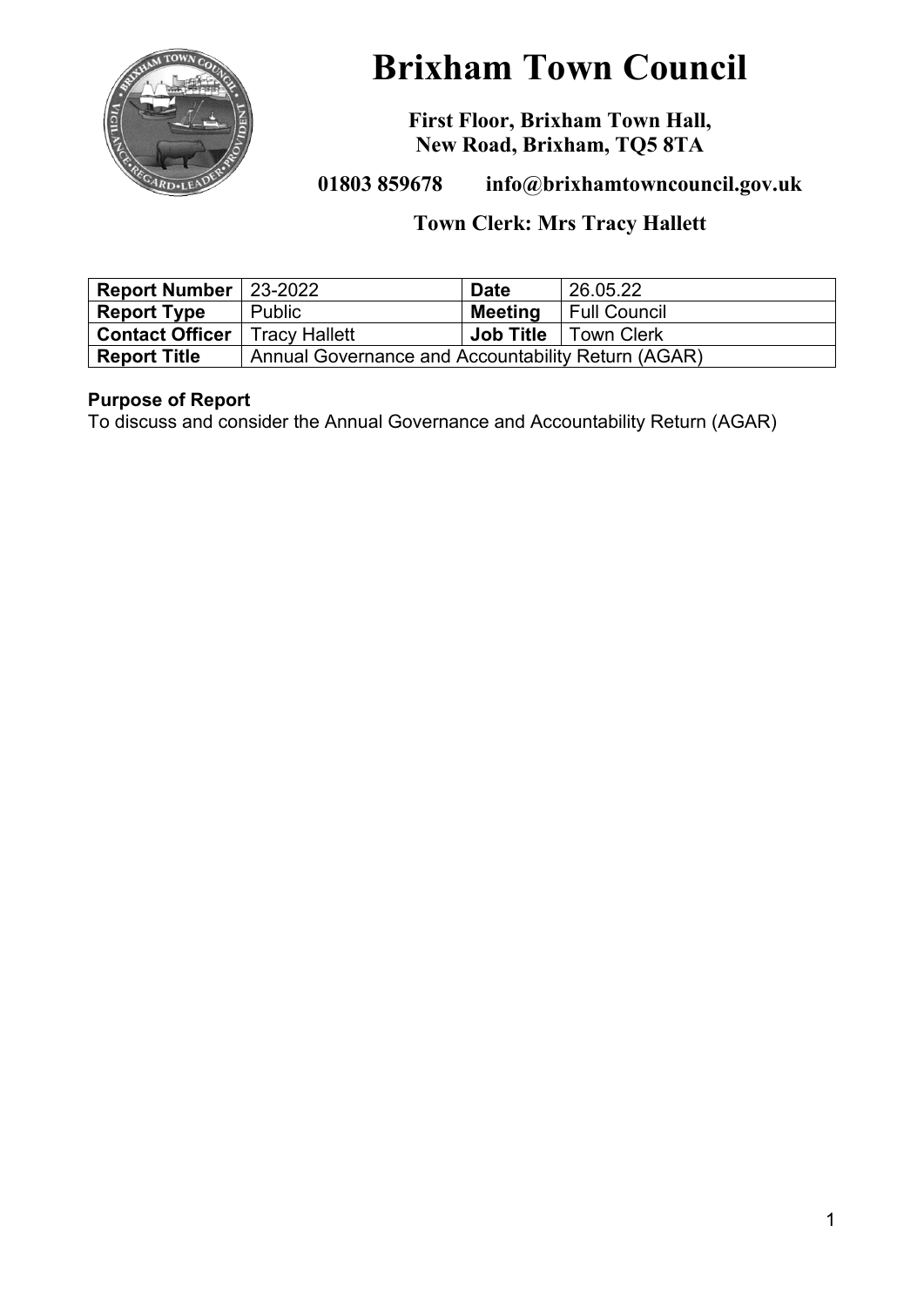

# **Brixham Town Council**

**First Floor, Brixham Town Hall, New Road, Brixham, TQ5 8TA**

**01803 859678 info@brixhamtowncouncil.gov.uk**

# **Town Clerk: Mrs Tracy Hallett**

| <b>Report Number</b> 23-2022           |                                                    | <b>Date</b>      | 26.05.22            |
|----------------------------------------|----------------------------------------------------|------------------|---------------------|
| <b>Report Type</b>                     | <b>Public</b>                                      | <b>Meeting</b>   | <b>Full Council</b> |
| <b>Contact Officer</b>   Tracy Hallett |                                                    | <b>Job Title</b> | <b>Town Clerk</b>   |
| <b>Report Title</b>                    | Annual Governance and Accountability Return (AGAR) |                  |                     |

# **Purpose of Report**

To discuss and consider the Annual Governance and Accountability Return (AGAR)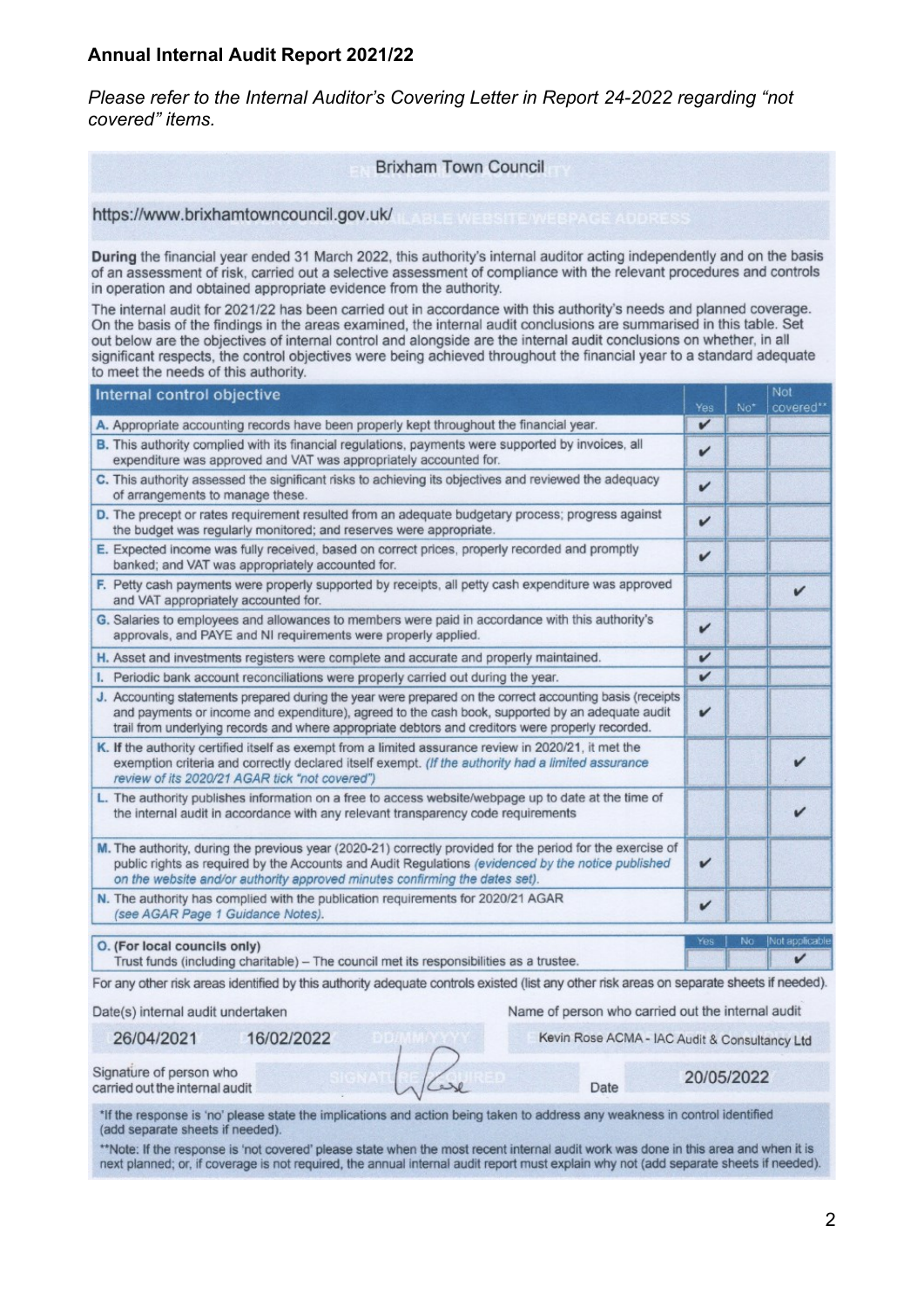#### **Annual Internal Audit Report 2021/22**

*Please refer to the Internal Auditor's Covering Letter in Report 24-2022 regarding "not covered" items.*

#### **Brixham Town Council**

https://www.brixhamtowncouncil.gov.uk/

During the financial year ended 31 March 2022, this authority's internal auditor acting independently and on the basis of an assessment of risk, carried out a selective assessment of compliance with the relevant procedures and controls in operation and obtained appropriate evidence from the authority.

The internal audit for 2021/22 has been carried out in accordance with this authority's needs and planned coverage. On the basis of the findings in the areas examined, the internal audit conclusions are summarised in this table. Set out below are the objectives of internal control and alongside are the internal audit conclusions on whether, in all significant respects, the control objectives were being achieved throughout the financial year to a standard adequate to meet the needs of this authority.

| v<br>A. Appropriate accounting records have been properly kept throughout the financial year.<br><b>B.</b> This authority complied with its financial regulations, payments were supported by invoices, all<br>v<br>expenditure was approved and VAT was appropriately accounted for.<br>C. This authority assessed the significant risks to achieving its objectives and reviewed the adequacy<br>$\mathbf{v}$<br>of arrangements to manage these.<br>D. The precept or rates requirement resulted from an adequate budgetary process; progress against<br>$\mathbf{v}$<br>the budget was regularly monitored; and reserves were appropriate.<br>E. Expected income was fully received, based on correct prices, properly recorded and promptly<br>v<br>banked; and VAT was appropriately accounted for.<br>F. Petty cash payments were properly supported by receipts, all petty cash expenditure was approved<br>v<br>and VAT appropriately accounted for.<br>G. Salaries to employees and allowances to members were paid in accordance with this authority's<br>V<br>approvals, and PAYE and NI requirements were properly applied.<br>V<br>H. Asset and investments registers were complete and accurate and properly maintained.<br>v<br>I. Periodic bank account reconciliations were properly carried out during the year.<br>J. Accounting statements prepared during the year were prepared on the correct accounting basis (receipts<br>$\checkmark$<br>and payments or income and expenditure), agreed to the cash book, supported by an adequate audit<br>trail from underlying records and where appropriate debtors and creditors were properly recorded.<br>K. If the authority certified itself as exempt from a limited assurance review in 2020/21, it met the<br>exemption criteria and correctly declared itself exempt. (If the authority had a limited assurance<br>review of its 2020/21 AGAR tick "not covered")<br>L. The authority publishes information on a free to access website/webpage up to date at the time of<br>the internal audit in accordance with any relevant transparency code requirements<br>M. The authority, during the previous year (2020-21) correctly provided for the period for the exercise of<br>$\mathbf{v}$<br>public rights as required by the Accounts and Audit Regulations (evidenced by the notice published<br>on the website and/or authority approved minutes confirming the dates set).<br>N. The authority has complied with the publication requirements for 2020/21 AGAR<br>v<br>(see AGAR Page 1 Guidance Notes).<br>No<br>Not applicable<br>Yes:<br>O. (For local councils only)<br>v | Internal control objective                                                              | Yes | No <sup>*</sup> | Not<br>covered** |
|---------------------------------------------------------------------------------------------------------------------------------------------------------------------------------------------------------------------------------------------------------------------------------------------------------------------------------------------------------------------------------------------------------------------------------------------------------------------------------------------------------------------------------------------------------------------------------------------------------------------------------------------------------------------------------------------------------------------------------------------------------------------------------------------------------------------------------------------------------------------------------------------------------------------------------------------------------------------------------------------------------------------------------------------------------------------------------------------------------------------------------------------------------------------------------------------------------------------------------------------------------------------------------------------------------------------------------------------------------------------------------------------------------------------------------------------------------------------------------------------------------------------------------------------------------------------------------------------------------------------------------------------------------------------------------------------------------------------------------------------------------------------------------------------------------------------------------------------------------------------------------------------------------------------------------------------------------------------------------------------------------------------------------------------------------------------------------------------------------------------------------------------------------------------------------------------------------------------------------------------------------------------------------------------------------------------------------------------------------------------------------------------------------------------------------------------------------------------------------------------------------------------------------------------------------------------------------------------------------------------------------------------------------------|-----------------------------------------------------------------------------------------|-----|-----------------|------------------|
|                                                                                                                                                                                                                                                                                                                                                                                                                                                                                                                                                                                                                                                                                                                                                                                                                                                                                                                                                                                                                                                                                                                                                                                                                                                                                                                                                                                                                                                                                                                                                                                                                                                                                                                                                                                                                                                                                                                                                                                                                                                                                                                                                                                                                                                                                                                                                                                                                                                                                                                                                                                                                                                               |                                                                                         |     |                 |                  |
|                                                                                                                                                                                                                                                                                                                                                                                                                                                                                                                                                                                                                                                                                                                                                                                                                                                                                                                                                                                                                                                                                                                                                                                                                                                                                                                                                                                                                                                                                                                                                                                                                                                                                                                                                                                                                                                                                                                                                                                                                                                                                                                                                                                                                                                                                                                                                                                                                                                                                                                                                                                                                                                               |                                                                                         |     |                 |                  |
|                                                                                                                                                                                                                                                                                                                                                                                                                                                                                                                                                                                                                                                                                                                                                                                                                                                                                                                                                                                                                                                                                                                                                                                                                                                                                                                                                                                                                                                                                                                                                                                                                                                                                                                                                                                                                                                                                                                                                                                                                                                                                                                                                                                                                                                                                                                                                                                                                                                                                                                                                                                                                                                               |                                                                                         |     |                 |                  |
|                                                                                                                                                                                                                                                                                                                                                                                                                                                                                                                                                                                                                                                                                                                                                                                                                                                                                                                                                                                                                                                                                                                                                                                                                                                                                                                                                                                                                                                                                                                                                                                                                                                                                                                                                                                                                                                                                                                                                                                                                                                                                                                                                                                                                                                                                                                                                                                                                                                                                                                                                                                                                                                               |                                                                                         |     |                 |                  |
|                                                                                                                                                                                                                                                                                                                                                                                                                                                                                                                                                                                                                                                                                                                                                                                                                                                                                                                                                                                                                                                                                                                                                                                                                                                                                                                                                                                                                                                                                                                                                                                                                                                                                                                                                                                                                                                                                                                                                                                                                                                                                                                                                                                                                                                                                                                                                                                                                                                                                                                                                                                                                                                               |                                                                                         |     |                 |                  |
|                                                                                                                                                                                                                                                                                                                                                                                                                                                                                                                                                                                                                                                                                                                                                                                                                                                                                                                                                                                                                                                                                                                                                                                                                                                                                                                                                                                                                                                                                                                                                                                                                                                                                                                                                                                                                                                                                                                                                                                                                                                                                                                                                                                                                                                                                                                                                                                                                                                                                                                                                                                                                                                               |                                                                                         |     |                 |                  |
|                                                                                                                                                                                                                                                                                                                                                                                                                                                                                                                                                                                                                                                                                                                                                                                                                                                                                                                                                                                                                                                                                                                                                                                                                                                                                                                                                                                                                                                                                                                                                                                                                                                                                                                                                                                                                                                                                                                                                                                                                                                                                                                                                                                                                                                                                                                                                                                                                                                                                                                                                                                                                                                               |                                                                                         |     |                 |                  |
|                                                                                                                                                                                                                                                                                                                                                                                                                                                                                                                                                                                                                                                                                                                                                                                                                                                                                                                                                                                                                                                                                                                                                                                                                                                                                                                                                                                                                                                                                                                                                                                                                                                                                                                                                                                                                                                                                                                                                                                                                                                                                                                                                                                                                                                                                                                                                                                                                                                                                                                                                                                                                                                               |                                                                                         |     |                 |                  |
|                                                                                                                                                                                                                                                                                                                                                                                                                                                                                                                                                                                                                                                                                                                                                                                                                                                                                                                                                                                                                                                                                                                                                                                                                                                                                                                                                                                                                                                                                                                                                                                                                                                                                                                                                                                                                                                                                                                                                                                                                                                                                                                                                                                                                                                                                                                                                                                                                                                                                                                                                                                                                                                               |                                                                                         |     |                 |                  |
|                                                                                                                                                                                                                                                                                                                                                                                                                                                                                                                                                                                                                                                                                                                                                                                                                                                                                                                                                                                                                                                                                                                                                                                                                                                                                                                                                                                                                                                                                                                                                                                                                                                                                                                                                                                                                                                                                                                                                                                                                                                                                                                                                                                                                                                                                                                                                                                                                                                                                                                                                                                                                                                               |                                                                                         |     |                 |                  |
|                                                                                                                                                                                                                                                                                                                                                                                                                                                                                                                                                                                                                                                                                                                                                                                                                                                                                                                                                                                                                                                                                                                                                                                                                                                                                                                                                                                                                                                                                                                                                                                                                                                                                                                                                                                                                                                                                                                                                                                                                                                                                                                                                                                                                                                                                                                                                                                                                                                                                                                                                                                                                                                               |                                                                                         |     |                 |                  |
|                                                                                                                                                                                                                                                                                                                                                                                                                                                                                                                                                                                                                                                                                                                                                                                                                                                                                                                                                                                                                                                                                                                                                                                                                                                                                                                                                                                                                                                                                                                                                                                                                                                                                                                                                                                                                                                                                                                                                                                                                                                                                                                                                                                                                                                                                                                                                                                                                                                                                                                                                                                                                                                               |                                                                                         |     |                 |                  |
|                                                                                                                                                                                                                                                                                                                                                                                                                                                                                                                                                                                                                                                                                                                                                                                                                                                                                                                                                                                                                                                                                                                                                                                                                                                                                                                                                                                                                                                                                                                                                                                                                                                                                                                                                                                                                                                                                                                                                                                                                                                                                                                                                                                                                                                                                                                                                                                                                                                                                                                                                                                                                                                               |                                                                                         |     |                 |                  |
|                                                                                                                                                                                                                                                                                                                                                                                                                                                                                                                                                                                                                                                                                                                                                                                                                                                                                                                                                                                                                                                                                                                                                                                                                                                                                                                                                                                                                                                                                                                                                                                                                                                                                                                                                                                                                                                                                                                                                                                                                                                                                                                                                                                                                                                                                                                                                                                                                                                                                                                                                                                                                                                               |                                                                                         |     |                 |                  |
|                                                                                                                                                                                                                                                                                                                                                                                                                                                                                                                                                                                                                                                                                                                                                                                                                                                                                                                                                                                                                                                                                                                                                                                                                                                                                                                                                                                                                                                                                                                                                                                                                                                                                                                                                                                                                                                                                                                                                                                                                                                                                                                                                                                                                                                                                                                                                                                                                                                                                                                                                                                                                                                               |                                                                                         |     |                 |                  |
|                                                                                                                                                                                                                                                                                                                                                                                                                                                                                                                                                                                                                                                                                                                                                                                                                                                                                                                                                                                                                                                                                                                                                                                                                                                                                                                                                                                                                                                                                                                                                                                                                                                                                                                                                                                                                                                                                                                                                                                                                                                                                                                                                                                                                                                                                                                                                                                                                                                                                                                                                                                                                                                               | Trust funds (including charitable) - The council met its responsibilities as a trustee. |     |                 |                  |
| For any other risk areas identified by this authority adequate controls existed (list any other risk areas on separate sheets if needed).                                                                                                                                                                                                                                                                                                                                                                                                                                                                                                                                                                                                                                                                                                                                                                                                                                                                                                                                                                                                                                                                                                                                                                                                                                                                                                                                                                                                                                                                                                                                                                                                                                                                                                                                                                                                                                                                                                                                                                                                                                                                                                                                                                                                                                                                                                                                                                                                                                                                                                                     |                                                                                         |     |                 |                  |
| Date(s) internal audit undertaken<br>Name of person who carried out the internal audit                                                                                                                                                                                                                                                                                                                                                                                                                                                                                                                                                                                                                                                                                                                                                                                                                                                                                                                                                                                                                                                                                                                                                                                                                                                                                                                                                                                                                                                                                                                                                                                                                                                                                                                                                                                                                                                                                                                                                                                                                                                                                                                                                                                                                                                                                                                                                                                                                                                                                                                                                                        |                                                                                         |     |                 |                  |
| 26/04/2021<br>16/02/2022<br>DBIMMAYYY<br>Kevin Rose ACMA - IAC Audit & Consultancy Ltd                                                                                                                                                                                                                                                                                                                                                                                                                                                                                                                                                                                                                                                                                                                                                                                                                                                                                                                                                                                                                                                                                                                                                                                                                                                                                                                                                                                                                                                                                                                                                                                                                                                                                                                                                                                                                                                                                                                                                                                                                                                                                                                                                                                                                                                                                                                                                                                                                                                                                                                                                                        |                                                                                         |     |                 |                  |

Signature of person who carried out the internal audit

\*If the response is 'no' please state the implications and action being taken to address any weakness in control identified (add separate sheets if needed).

\*\*Note: If the response is 'not covered' please state when the most recent internal audit work was done in this area and when it is next planned; or, if coverage is not required, the annual internal audit report must explain why not (add separate sheets if needed).

20/05/2022

Date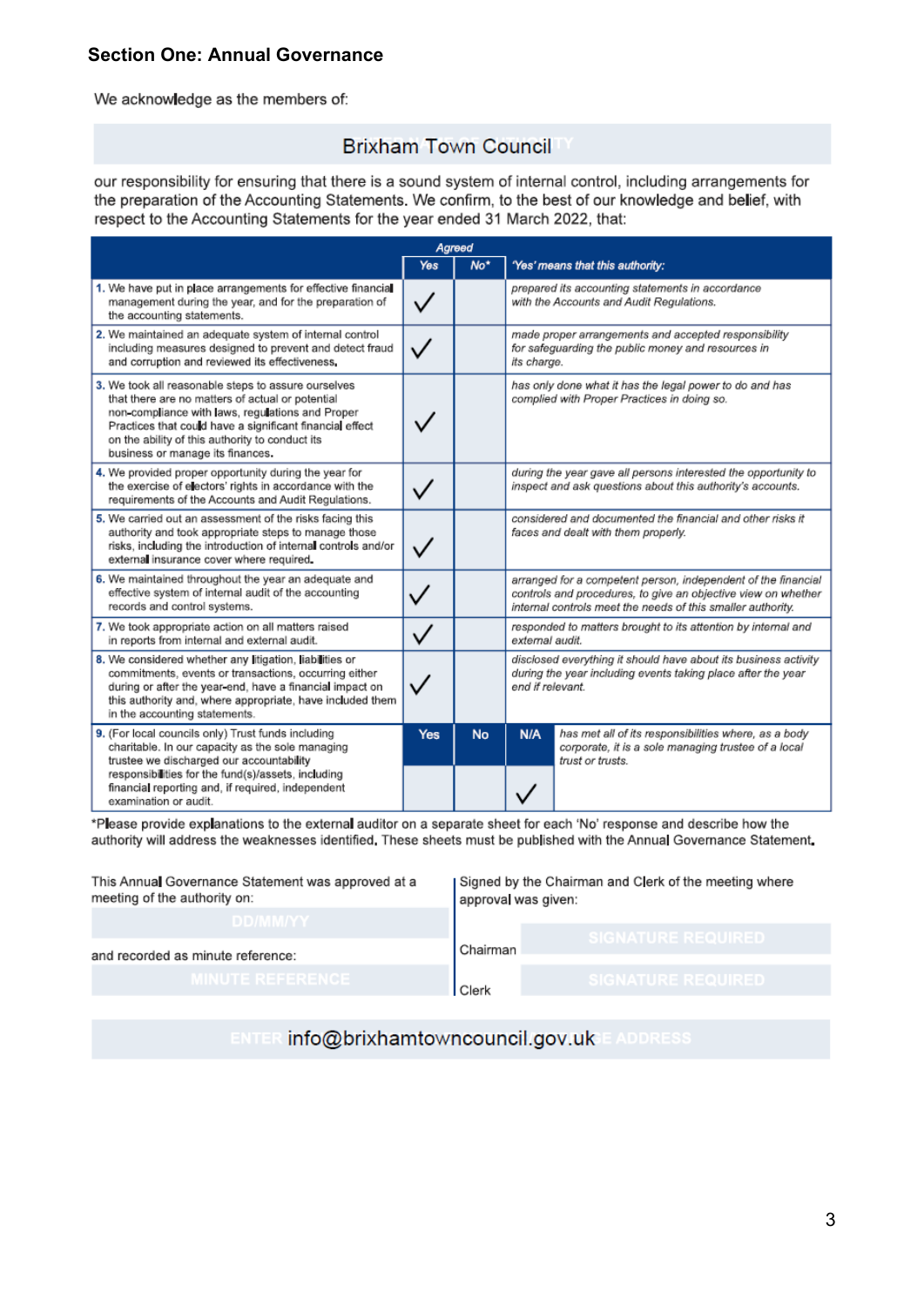#### **Section One: Annual Governance**

We acknowledge as the members of:

# **Brixham Town Council**

our responsibility for ensuring that there is a sound system of internal control, including arrangements for the preparation of the Accounting Statements. We confirm, to the best of our knowledge and belief, with respect to the Accounting Statements for the year ended 31 March 2022, that:

| Agreed                                                                                                                                                                                                                                                                                                         |              |           |                                                                                                                                                                                               |                                                                                                                                 |  |
|----------------------------------------------------------------------------------------------------------------------------------------------------------------------------------------------------------------------------------------------------------------------------------------------------------------|--------------|-----------|-----------------------------------------------------------------------------------------------------------------------------------------------------------------------------------------------|---------------------------------------------------------------------------------------------------------------------------------|--|
| Yes                                                                                                                                                                                                                                                                                                            |              | $No*$     | 'Yes' means that this authority:                                                                                                                                                              |                                                                                                                                 |  |
| 1. We have put in place arrangements for effective financial<br>management during the year, and for the preparation of<br>the accounting statements.                                                                                                                                                           | $\checkmark$ |           |                                                                                                                                                                                               | prepared its accounting statements in accordance<br>with the Accounts and Audit Regulations.                                    |  |
| 2. We maintained an adequate system of internal control<br>including measures designed to prevent and detect fraud<br>and corruption and reviewed its effectiveness.                                                                                                                                           |              |           | its charge.                                                                                                                                                                                   | made proper arrangements and accepted responsibility<br>for safeguarding the public money and resources in                      |  |
| 3. We took all reasonable steps to assure ourselves<br>that there are no matters of actual or potential<br>non-compliance with laws, regulations and Proper<br>Practices that could have a significant financial effect<br>on the ability of this authority to conduct its<br>business or manage its finances. |              |           | has only done what it has the legal power to do and has<br>complied with Proper Practices in doing so.                                                                                        |                                                                                                                                 |  |
| 4. We provided proper opportunity during the year for<br>the exercise of electors' rights in accordance with the<br>requirements of the Accounts and Audit Regulations.                                                                                                                                        |              |           | during the year gave all persons interested the opportunity to<br>inspect and ask questions about this authority's accounts.                                                                  |                                                                                                                                 |  |
| 5. We carried out an assessment of the risks facing this<br>authority and took appropriate steps to manage those<br>risks, including the introduction of internal controls and/or<br>external insurance cover where required.                                                                                  |              |           | considered and documented the financial and other risks it<br>faces and dealt with them properly.                                                                                             |                                                                                                                                 |  |
| 6. We maintained throughout the year an adequate and<br>effective system of internal audit of the accounting<br>records and control systems.                                                                                                                                                                   |              |           | arranged for a competent person, independent of the financial<br>controls and procedures, to give an objective view on whether<br>internal controls meet the needs of this smaller authority. |                                                                                                                                 |  |
| 7. We took appropriate action on all matters raised<br>in reports from internal and external audit.                                                                                                                                                                                                            |              |           | responded to matters brought to its attention by internal and<br>external audit.                                                                                                              |                                                                                                                                 |  |
| 8. We considered whether any litigation, liabilities or<br>commitments, events or transactions, occurring either<br>during or after the year-end, have a financial impact on<br>this authority and, where appropriate, have included them<br>in the accounting statements.                                     |              |           | disclosed everything it should have about its business activity<br>during the year including events taking place after the year<br>end if relevant.                                           |                                                                                                                                 |  |
| 9. (For local councils only) Trust funds including<br>charitable. In our capacity as the sole managing<br>trustee we discharged our accountability<br>responsibilities for the fund(s)/assets, including<br>financial reporting and, if required, independent<br>examination or audit.                         | Yes          | <b>No</b> | N/A                                                                                                                                                                                           | has met all of its responsibilities where, as a body<br>corporate, it is a sole managing trustee of a local<br>trust or trusts. |  |

\*Please provide explanations to the external auditor on a separate sheet for each 'No' response and describe how the authority will address the weaknesses identified. These sheets must be published with the Annual Governance Statement.

| This Annual Governance Statement was approved at a<br>meeting of the authority on: | Signed by the Chairman and Clerk of the meeting where<br>approval was given: |                           |  |
|------------------------------------------------------------------------------------|------------------------------------------------------------------------------|---------------------------|--|
| DD/MM/YY                                                                           |                                                                              |                           |  |
|                                                                                    |                                                                              | <b>SIGNATURE REQUIRED</b> |  |
| and recorded as minute reference:                                                  | Chairman                                                                     |                           |  |
|                                                                                    |                                                                              |                           |  |
| <b>MINUTE REFERENCE</b>                                                            | Clerk                                                                        | <b>SIGNATURE REQUIRED</b> |  |

ENTER info@brixhamtowncouncil.gov.uk E ADDRESS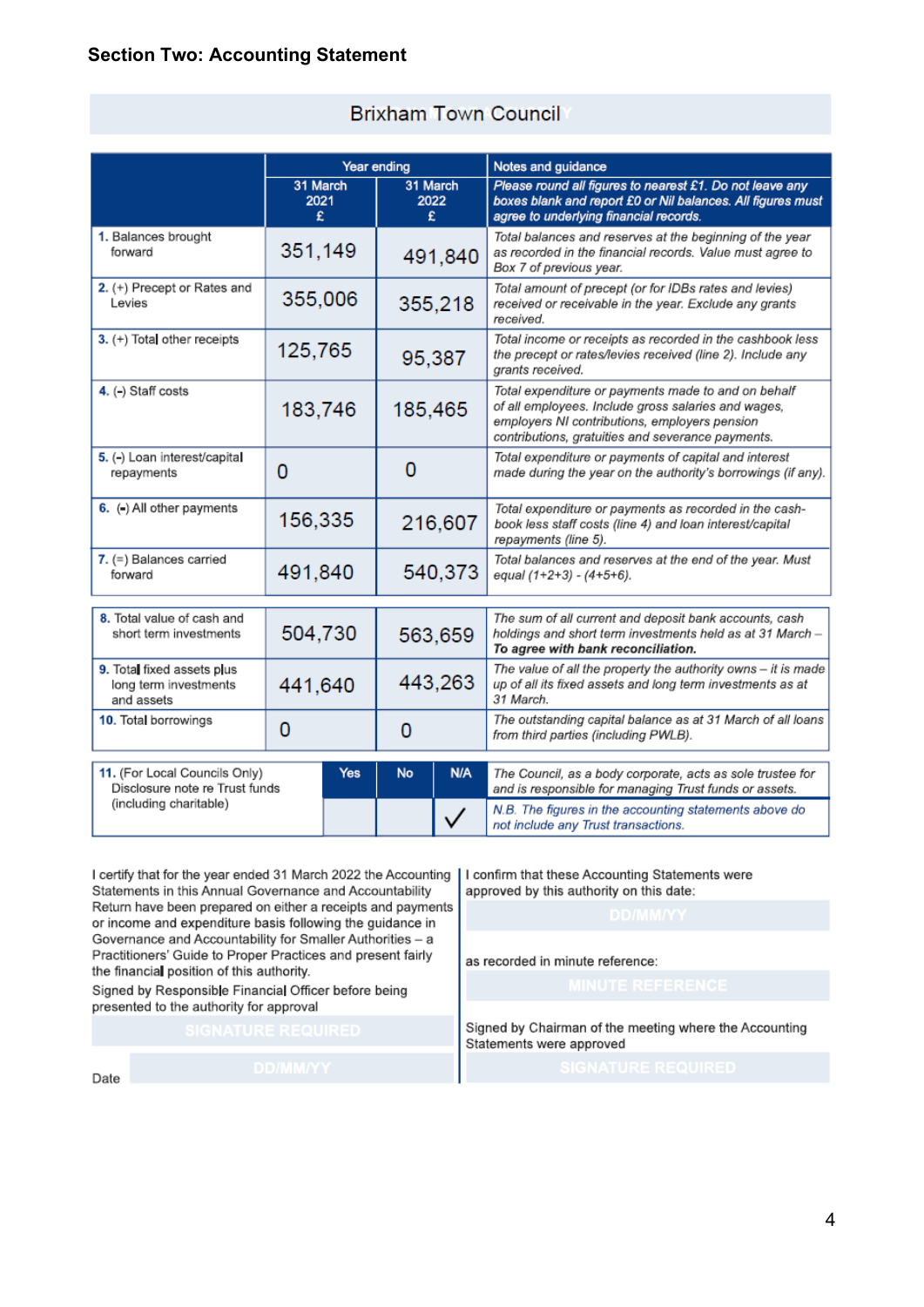|                                                                   | Year ending           |                       |         | Notes and guidance                                                                                                                                                                                               |  |                                                                                      |
|-------------------------------------------------------------------|-----------------------|-----------------------|---------|------------------------------------------------------------------------------------------------------------------------------------------------------------------------------------------------------------------|--|--------------------------------------------------------------------------------------|
|                                                                   | 31 March<br>2021<br>£ | 31 March<br>2022<br>£ |         | Please round all figures to nearest £1. Do not leave any<br>boxes blank and report £0 or Nil balances. All figures must<br>agree to underlying financial records.                                                |  |                                                                                      |
| 1. Balances brought<br>forward                                    | 351,149               | 491,840               |         | Total balances and reserves at the beginning of the year<br>as recorded in the financial records. Value must agree to<br>Box 7 of previous year.                                                                 |  |                                                                                      |
| 2. (+) Precept or Rates and<br>Levies                             | 355,006               | 355,218               |         | Total amount of precept (or for IDBs rates and levies)<br>received or receivable in the year. Exclude any grants<br>received.                                                                                    |  |                                                                                      |
| 3. (+) Total other receipts                                       | 125,765               | 95,387                |         | Total income or receipts as recorded in the cashbook less<br>the precept or rates/levies received (line 2). Include any<br>grants received.                                                                      |  |                                                                                      |
| 4. (-) Staff costs                                                | 183,746               | 185,465               |         | Total expenditure or payments made to and on behalf<br>of all employees. Include gross salaries and wages,<br>employers NI contributions, employers pension<br>contributions, gratuities and severance payments. |  |                                                                                      |
| 5. (-) Loan interest/capital<br>repayments                        | 0                     | 0                     |         | Total expenditure or payments of capital and interest<br>made during the year on the authority's borrowings (if any).                                                                                            |  |                                                                                      |
| 6. (-) All other payments                                         | 156,335               | 216,607               |         | Total expenditure or payments as recorded in the cash-<br>book less staff costs (line 4) and loan interest/capital<br>repayments (line 5).                                                                       |  |                                                                                      |
| 7. (=) Balances carried<br>forward                                | 491,840               | 540,373               |         |                                                                                                                                                                                                                  |  | Total balances and reserves at the end of the year. Must<br>equal (1+2+3) - (4+5+6). |
| 8. Total value of cash and<br>short term investments              | 504,730               |                       | 563,659 | The sum of all current and deposit bank accounts, cash<br>holdings and short term investments held as at 31 March -<br>To agree with bank reconciliation.                                                        |  |                                                                                      |
| 9. Total fixed assets plus<br>long term investments<br>and assets | 441,640               | 443,263               |         | The value of all the property the authority owns - it is made<br>up of all its fixed assets and long term investments as at<br>31 March.                                                                         |  |                                                                                      |
| 10. Total borrowings                                              | 0<br>0                |                       |         | The outstanding capital balance as at 31 March of all loans<br>from third parties (including PWLB).                                                                                                              |  |                                                                                      |
| 11. (For Local Councils Only)<br>Disclosure note re Trust funds   | Yes                   | No                    | N/A     | The Council, as a body corporate, acts as sole trustee for<br>and is responsible for managing Trust funds or assets.                                                                                             |  |                                                                                      |
| (including charitable)                                            |                       |                       |         | N.B. The figures in the accounting statements above do<br>not include any Trust transactions.                                                                                                                    |  |                                                                                      |

### **Brixham Town Council**

I certify that for the year ended 31 March 2022 the Accounting Statements in this Annual Governance and Accountability Return have been prepared on either a receipts and payments or income and expenditure basis following the guidance in Governance and Accountability for Smaller Authorities - a Practitioners' Guide to Proper Practices and present fairly the financial position of this authority.

Signed by Responsible Financial Officer before being presented to the authority for approval

I confirm that these Accounting Statements were approved by this authority on this date:

as recorded in minute reference:

Signed by Chairman of the meeting where the Accounting Statements were approved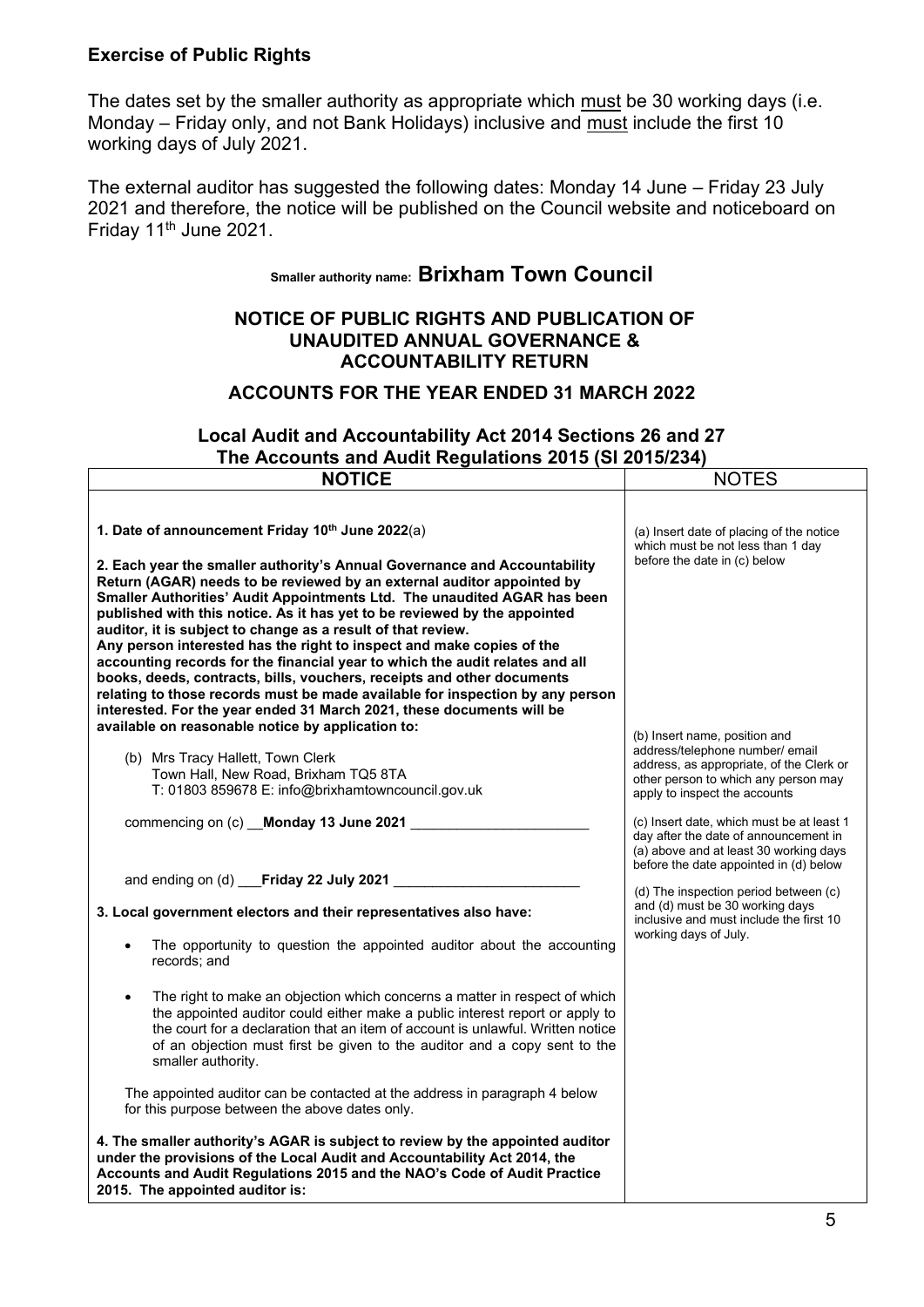#### **Exercise of Public Rights**

The dates set by the smaller authority as appropriate which must be 30 working days (i.e. Monday – Friday only, and not Bank Holidays) inclusive and must include the first 10 working days of July 2021.

The external auditor has suggested the following dates: Monday 14 June – Friday 23 July 2021 and therefore, the notice will be published on the Council website and noticeboard on Friday 11th June 2021.

# **Smaller authority name: Brixham Town Council**

#### **NOTICE OF PUBLIC RIGHTS AND PUBLICATION OF UNAUDITED ANNUAL GOVERNANCE & ACCOUNTABILITY RETURN**

## **ACCOUNTS FOR THE YEAR ENDED 31 MARCH 2022**

## **Local Audit and Accountability Act 2014 Sections 26 and 27 The Accounts and Audit Regulations 2015 (SI 2015/234)**

| <b>NOTICE</b>                                                                                                                                                                                                                                                                                                                                                                                                                                                                                                                                                                                                                                                                                                                                                                                                                                                                      | <b>NOTES</b>                                                                                                                                                                          |
|------------------------------------------------------------------------------------------------------------------------------------------------------------------------------------------------------------------------------------------------------------------------------------------------------------------------------------------------------------------------------------------------------------------------------------------------------------------------------------------------------------------------------------------------------------------------------------------------------------------------------------------------------------------------------------------------------------------------------------------------------------------------------------------------------------------------------------------------------------------------------------|---------------------------------------------------------------------------------------------------------------------------------------------------------------------------------------|
| 1. Date of announcement Friday 10th June 2022(a)<br>2. Each year the smaller authority's Annual Governance and Accountability<br>Return (AGAR) needs to be reviewed by an external auditor appointed by<br>Smaller Authorities' Audit Appointments Ltd. The unaudited AGAR has been<br>published with this notice. As it has yet to be reviewed by the appointed<br>auditor, it is subject to change as a result of that review.<br>Any person interested has the right to inspect and make copies of the<br>accounting records for the financial year to which the audit relates and all<br>books, deeds, contracts, bills, vouchers, receipts and other documents<br>relating to those records must be made available for inspection by any person<br>interested. For the year ended 31 March 2021, these documents will be<br>available on reasonable notice by application to: | (a) Insert date of placing of the notice<br>which must be not less than 1 day<br>before the date in (c) below                                                                         |
| (b) Mrs Tracy Hallett, Town Clerk<br>Town Hall, New Road, Brixham TQ5 8TA<br>T: 01803 859678 E: info@brixhamtowncouncil.gov.uk                                                                                                                                                                                                                                                                                                                                                                                                                                                                                                                                                                                                                                                                                                                                                     | (b) Insert name, position and<br>address/telephone number/ email<br>address, as appropriate, of the Clerk or<br>other person to which any person may<br>apply to inspect the accounts |
| commencing on (c) __ Monday 13 June 2021                                                                                                                                                                                                                                                                                                                                                                                                                                                                                                                                                                                                                                                                                                                                                                                                                                           | (c) Insert date, which must be at least 1<br>day after the date of announcement in<br>(a) above and at least 30 working days<br>before the date appointed in (d) below                |
| and ending on (d) ___Friday 22 July 2021 ______________                                                                                                                                                                                                                                                                                                                                                                                                                                                                                                                                                                                                                                                                                                                                                                                                                            |                                                                                                                                                                                       |
| 3. Local government electors and their representatives also have:                                                                                                                                                                                                                                                                                                                                                                                                                                                                                                                                                                                                                                                                                                                                                                                                                  | (d) The inspection period between (c)<br>and (d) must be 30 working days<br>inclusive and must include the first 10<br>working days of July.                                          |
| The opportunity to question the appointed auditor about the accounting<br>records; and                                                                                                                                                                                                                                                                                                                                                                                                                                                                                                                                                                                                                                                                                                                                                                                             |                                                                                                                                                                                       |
| The right to make an objection which concerns a matter in respect of which<br>the appointed auditor could either make a public interest report or apply to<br>the court for a declaration that an item of account is unlawful. Written notice<br>of an objection must first be given to the auditor and a copy sent to the<br>smaller authority.                                                                                                                                                                                                                                                                                                                                                                                                                                                                                                                                   |                                                                                                                                                                                       |
| The appointed auditor can be contacted at the address in paragraph 4 below<br>for this purpose between the above dates only.                                                                                                                                                                                                                                                                                                                                                                                                                                                                                                                                                                                                                                                                                                                                                       |                                                                                                                                                                                       |
| 4. The smaller authority's AGAR is subject to review by the appointed auditor<br>under the provisions of the Local Audit and Accountability Act 2014, the<br>Accounts and Audit Regulations 2015 and the NAO's Code of Audit Practice<br>2015. The appointed auditor is:                                                                                                                                                                                                                                                                                                                                                                                                                                                                                                                                                                                                           |                                                                                                                                                                                       |